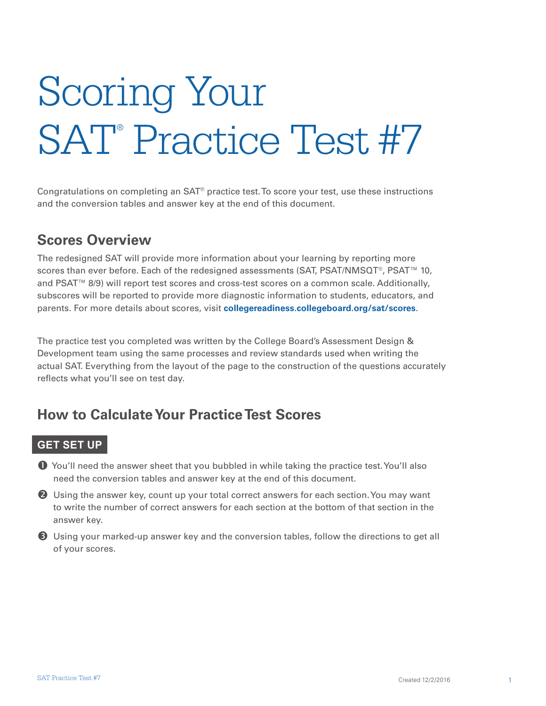# Scoring Your SAT<sup>®</sup> Practice Test #7

Congratulations on completing an SAT® practice test. To score your test, use these instructions and the conversion tables and answer key at the end of this document.

#### **Scores Overview**

The redesigned SAT will provide more information about your learning by reporting more scores than ever before. Each of the redesigned assessments (SAT, PSAT/NMSQT®, PSAT™ 10, and PSAT™ 8/9) will report test scores and cross-test scores on a common scale. Additionally, subscores will be reported to provide more diagnostic information to students, educators, and parents. For more details about scores, visit **[collegereadiness.collegeboard.org/sat/scores](http://collegereadiness.collegeboard.org/sat/scores)**.

The practice test you completed was written by the College Board's Assessment Design & Development team using the same processes and review standards used when writing the actual SAT. Everything from the layout of the page to the construction of the questions accurately reflects what you'll see on test day.

### **How to Calculate Your Practice Test Scores**

#### **GET SET UP**

 You'll need the answer sheet that you bubbled in while taking the practice test. You'll also need the conversion tables and answer key at the end of this document.

**2** Using the answer key, count up your total correct answers for each section. You may want to write the number of correct answers for each section at the bottom of that section in the answer key.

 Using your marked-up answer key and the conversion tables, follow the directions to get all of your scores.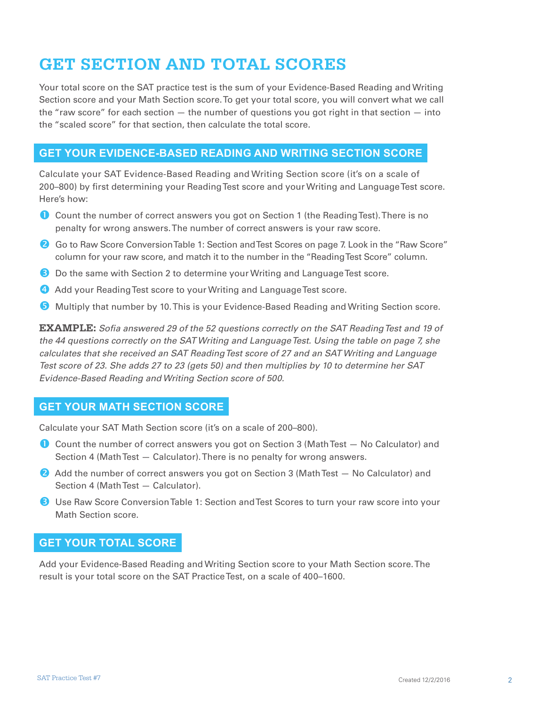### **GET SECTION AND TOTAL SCORES**

Your total score on the SAT practice test is the sum of your Evidence-Based Reading and Writing Section score and your Math Section score. To get your total score, you will convert what we call the "raw score" for each section — the number of questions you got right in that section — into the "scaled score" for that section, then calculate the total score.

#### **GET YOUR EVIDENCE-BASED READING AND WRITING SECTION SCORE**

Calculate your SAT Evidence-Based Reading and Writing Section score (it's on a scale of 200–800) by first determining your Reading Test score and your Writing and Language Test score. Here's how:

- Count the number of correct answers you got on Section 1 (the Reading Test). There is no penalty for wrong answers. The number of correct answers is your raw score.
- <sup>2</sup> Go to Raw Score Conversion Table 1: Section and Test Scores on page 7. Look in the "Raw Score" column for your raw score, and match it to the number in the "Reading Test Score" column.
- **B** Do the same with Section 2 to determine your Writing and Language Test score.
- **4** Add your Reading Test score to your Writing and Language Test score.
- **G** Multiply that number by 10. This is your Evidence-Based Reading and Writing Section score.

**EXAMPLE:** *Sofia answered 29 of the 52 questions correctly on the SAT Reading Test and 19 of the 44 questions correctly on the SAT Writing and Language Test. Using the table on page 7, she calculates that she received an SAT Reading Test score of 27 and an SAT Writing and Language Test score of 23. She adds 27 to 23 (gets 50) and then multiplies by 10 to determine her SAT Evidence-Based Reading and Writing Section score of 500.* 

#### **GET YOUR MATH SECTION SCORE**

Calculate your SAT Math Section score (it's on a scale of 200–800).

- Count the number of correct answers you got on Section 3 (Math Test No Calculator) and Section 4 (Math Test — Calculator). There is no penalty for wrong answers.
- **2** Add the number of correct answers you got on Section 3 (Math Test No Calculator) and Section 4 (Math Test — Calculator).
- **B** Use Raw Score Conversion Table 1: Section and Test Scores to turn your raw score into your Math Section score.

#### **GET YOUR TOTAL SCORE**

Add your Evidence-Based Reading and Writing Section score to your Math Section score. The result is your total score on the SAT Practice Test, on a scale of 400–1600.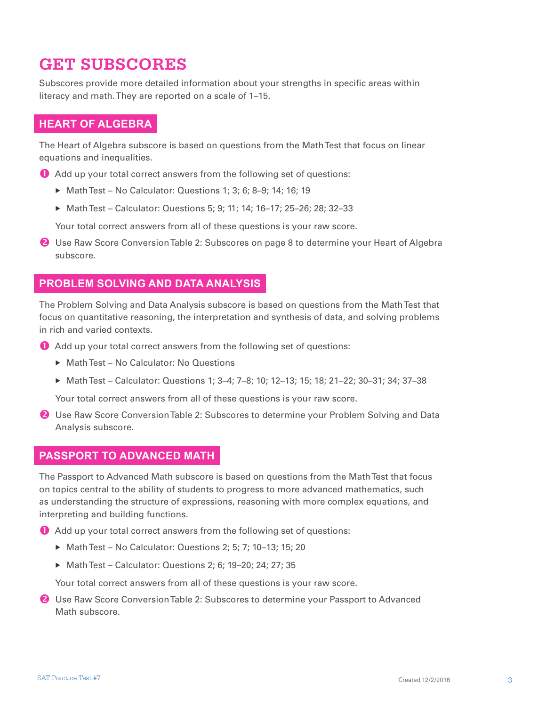### **GET SUBSCORES**

Subscores provide more detailed information about your strengths in specific areas within literacy and math. They are reported on a scale of 1–15.

#### **HEART OF ALGEBRA**

The Heart of Algebra subscore is based on questions from the Math Test that focus on linear equations and inequalities.

- Add up your total correct answers from the following set of questions:
	- $\triangleright$  Math Test No Calculator: Questions 1; 3; 6; 8-9; 14; 16; 19
	- ▶ Math Test Calculator: Questions 5; 9; 11; 14; 16-17; 25-26; 28; 32-33

Your total correct answers from all of these questions is your raw score.

**2** Use Raw Score Conversion Table 2: Subscores on page 8 to determine your Heart of Algebra subscore.

#### **PROBLEM SOLVING AND DATA ANALYSIS**

The Problem Solving and Data Analysis subscore is based on questions from the Math Test that focus on quantitative reasoning, the interpretation and synthesis of data, and solving problems in rich and varied contexts.

- Add up your total correct answers from the following set of questions:
	- ▶ Math Test No Calculator: No Questions
	- Math Test Calculator: Questions 1; 3-4; 7-8; 10; 12-13; 15; 18; 21-22; 30-31; 34; 37-38

Your total correct answers from all of these questions is your raw score.

**2** Use Raw Score Conversion Table 2: Subscores to determine your Problem Solving and Data Analysis subscore.

#### **PASSPORT TO ADVANCED MATH**

The Passport to Advanced Math subscore is based on questions from the Math Test that focus on topics central to the ability of students to progress to more advanced mathematics, such as understanding the structure of expressions, reasoning with more complex equations, and interpreting and building functions.

Add up your total correct answers from the following set of questions:

- ▶ Math Test No Calculator: Questions 2; 5; 7; 10–13; 15; 20
- ▶ Math Test Calculator: Questions 2: 6: 19–20: 24: 27: 35

Your total correct answers from all of these questions is your raw score.

**2** Use Raw Score Conversion Table 2: Subscores to determine your Passport to Advanced Math subscore.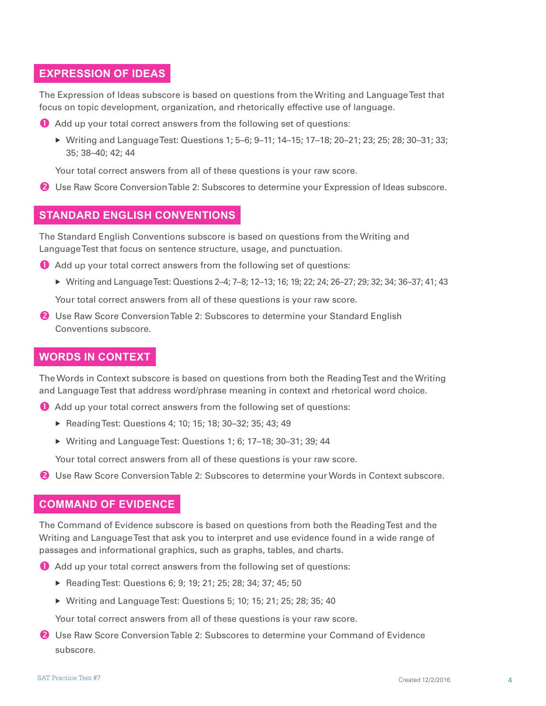#### **EXPRESSION OF IDEAS**

The Expression of Ideas subscore is based on questions from the Writing and Language Test that focus on topic development, organization, and rhetorically effective use of language.

Add up your total correct answers from the following set of questions:

 Writing and Language Test: Questions 1; 5–6; 9–11; 14–15; 17–18; 20–21; 23; 25; 28; 30–31; 33; 35; 38–40; 42; 44

Your total correct answers from all of these questions is your raw score.

Use Raw Score Conversion Table 2: Subscores to determine your Expression of Ideas subscore.

#### **STANDARD ENGLISH CONVENTIONS**

The Standard English Conventions subscore is based on questions from the Writing and Language Test that focus on sentence structure, usage, and punctuation.

- Add up your total correct answers from the following set of questions:
	- Writing and Language Test: Questions 2–4; 7–8; 12–13; 16; 19; 22; 24; 26–27; 29; 32; 34; 36–37; 41; 43

Your total correct answers from all of these questions is your raw score.

**2** Use Raw Score Conversion Table 2: Subscores to determine your Standard English Conventions subscore.

#### **WORDS IN CONTEXT**

The Words in Context subscore is based on questions from both the Reading Test and the Writing and Language Test that address word/phrase meaning in context and rhetorical word choice.

- Add up your total correct answers from the following set of questions:
	- ▶ Reading Test: Questions 4; 10; 15; 18; 30-32; 35; 43; 49
	- Writing and Language Test: Questions 1; 6; 17–18; 30–31; 39; 44

Your total correct answers from all of these questions is your raw score.

**2** Use Raw Score Conversion Table 2: Subscores to determine your Words in Context subscore.

#### **COMMAND OF EVIDENCE**

The Command of Evidence subscore is based on questions from both the Reading Test and the Writing and Language Test that ask you to interpret and use evidence found in a wide range of passages and informational graphics, such as graphs, tables, and charts.

- Add up your total correct answers from the following set of questions:
	- ▶ Reading Test: Questions 6; 9; 19; 21; 25; 28; 34; 37; 45; 50
	- Writing and Language Test: Questions 5; 10; 15; 21; 25; 28; 35; 40

Your total correct answers from all of these questions is your raw score.

**2** Use Raw Score Conversion Table 2: Subscores to determine your Command of Evidence subscore.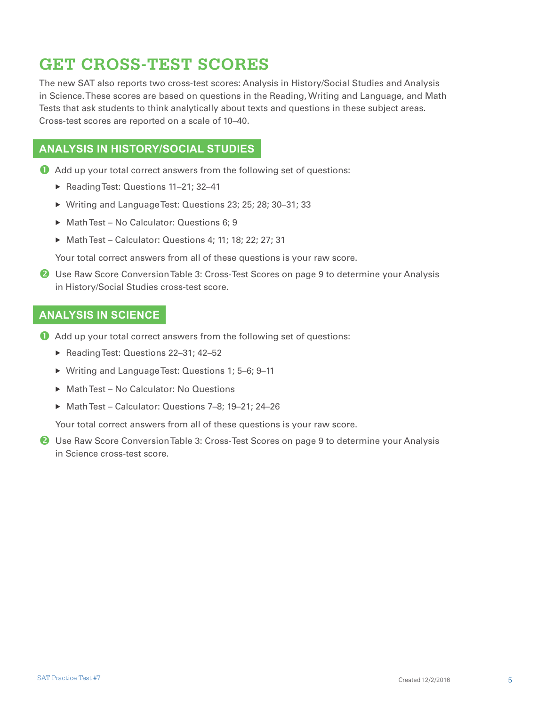### **GET CROSS-TEST SCORES**

The new SAT also reports two cross-test scores: Analysis in History/Social Studies and Analysis in Science. These scores are based on questions in the Reading, Writing and Language, and Math Tests that ask students to think analytically about texts and questions in these subject areas. Cross-test scores are reported on a scale of 10–40.

#### **ANALYSIS IN HISTORY/SOCIAL STUDIES**

- Add up your total correct answers from the following set of questions:
	- ▶ Reading Test: Questions 11-21; 32-41
	- ▶ Writing and Language Test: Questions 23; 25; 28; 30-31; 33
	- ▶ Math Test No Calculator: Questions 6; 9
	- Math Test Calculator: Questions 4; 11; 18; 22; 27; 31

Your total correct answers from all of these questions is your raw score.

**2** Use Raw Score Conversion Table 3: Cross-Test Scores on page 9 to determine your Analysis in History/Social Studies cross-test score.

#### **ANALYSIS IN SCIENCE**

- Add up your total correct answers from the following set of questions:
	- ▶ Reading Test: Questions 22-31; 42-52
	- ▶ Writing and Language Test: Questions 1; 5-6; 9-11
	- ▶ Math Test No Calculator: No Questions
	- ▶ Math Test Calculator: Questions 7-8: 19-21: 24-26

Your total correct answers from all of these questions is your raw score.

**2** Use Raw Score Conversion Table 3: Cross-Test Scores on page 9 to determine your Analysis in Science cross-test score.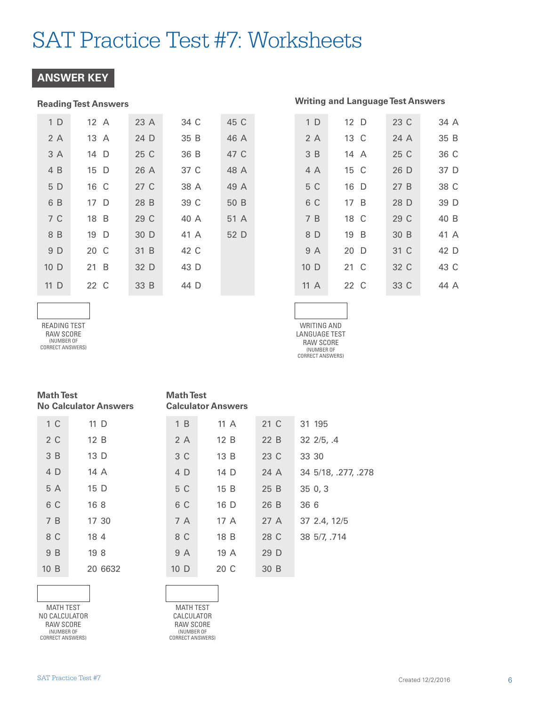#### **ANSWER KEY**

#### **Reading Test Answers Writing and Language Test Answers**

| 1 <sub>D</sub>  | 12 A | 23 A | 34 C | 45 C |
|-----------------|------|------|------|------|
| 2A              | 13 A | 24 D | 35 B | 46 A |
| 3 A             | 14 D | 25 C | 36 B | 47 C |
| 4 B             | 15 D | 26 A | 37 C | 48 A |
| 5 D             | 16 C | 27 C | 38 A | 49 A |
| 6 B             | 17 D | 28 B | 39 C | 50 B |
| 7 C             | 18 B | 29 C | 40 A | 51 A |
| 8 B             | 19 D | 30 D | 41 A | 52 D |
| 9 D             | 20 C | 31 B | 42 C |      |
| 10 <sub>D</sub> | 21 B | 32 D | 43 D |      |
| $11\,$ D        | 22 C | 33 B | 44 D |      |

| 1 <sub>D</sub>  | 12 D | 23 C | 34 A |
|-----------------|------|------|------|
| 2A              | 13 C | 24A  | 35 B |
| 3 B             | 14 A | 25 C | 36 C |
| 4 A             | 15 C | 26 D | 37 D |
| 5 C             | 16 D | 27B  | 38 C |
| 6 C             | 17 B | 28 D | 39 D |
| 7 B             | 18 C | 29 C | 40 B |
| 8 D             | 19 B | 30 B | 41 A |
| 9 A             | 20 D | 31 C | 42 D |
| 10 <sub>D</sub> | 21 C | 32 C | 43 C |
| 11A             | 22 C | 33 C | 44 A |
|                 |      |      |      |

READING TEST RAW SCORE (NUMBER OF CORRECT ANSWERS)

| WRITING AND      |
|------------------|
| LANGUAGE TEST    |
| RAW SCORF        |
| (NUMBER OF       |
| CORRECT ANSWERS) |
|                  |

31 195

| <b>Math Test</b>             |
|------------------------------|
| <b>No Calculator Answers</b> |

| 1 <sup>C</sup> | 11 D    |
|----------------|---------|
| 2C             | 12 B    |
| 3B             | 13 D    |
| 4 D            | 14 A    |
| 5 A            | 15 D    |
| 6 C            | 168     |
| 7B             | 17 30   |
| 8 C            | 18 4    |
| 9 B            | 198     |
| 10 B           | 20 6632 |
|                |         |

3 C 4 D 5 C 6 C 7 A 8 C 9 A 10 D 13 B 14 D 15 B 16 D 17 A 18 B 19 A 20 C 23 C 24 A 25 B 26 B 27 A 28 C 29 D 30 B 32 2/5, .4 33 30 34 5/18, .277, .278 35 0, 3 36 6 37 2.4, 12/5 38 5/7, .714

21 C 22 B

MATH TEST NO CALCULATOR RAW SCORE (NUMBER OF CORRECT ANSWERS)



**Math Test** 

1 B 2 A

**Calculator Answers** 

11 A 12 B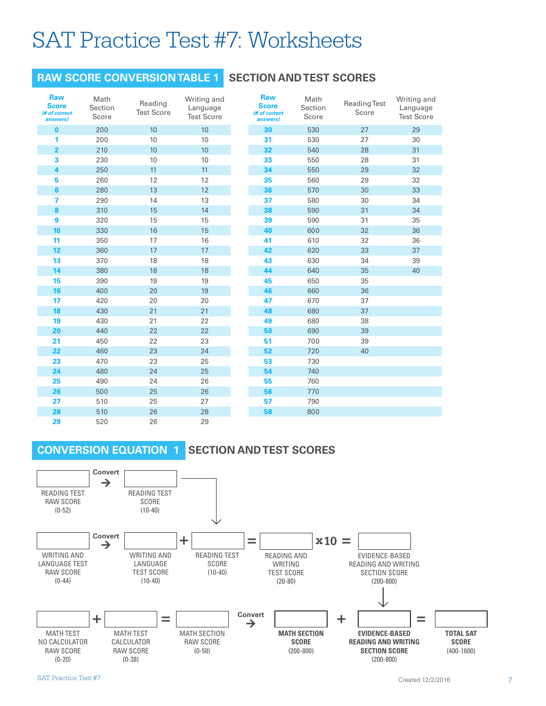#### **RAW SCORE CONVERSION TABLE 1**

#### **SECTION AND TEST SCORES**

|                                                         |                          | <b>RAW SCORE CONVERSION TABLE 1</b> |                                              | S |
|---------------------------------------------------------|--------------------------|-------------------------------------|----------------------------------------------|---|
| <b>Raw</b><br><b>Score</b><br>(# of correct<br>answers) | Math<br>Section<br>Score | Reading<br><b>Test Score</b>        | Writing and<br>Language<br><b>Test Score</b> |   |
| $\bf{0}$                                                | 200                      | 10                                  | 10                                           |   |
| 1                                                       | 200                      | 10                                  | 10                                           |   |
| $\overline{2}$                                          | 210                      | 10                                  | 10                                           |   |
| 3                                                       | 230                      | 10                                  | 10                                           |   |
| 4                                                       | 250                      | 11                                  | 11                                           |   |
| 5                                                       | 260                      | 12                                  | 12                                           |   |
| 6                                                       | 280                      | 13                                  | 12                                           |   |
| 7                                                       | 290                      | 14                                  | 13                                           |   |
| 8                                                       | 310                      | 15                                  | 14                                           |   |
| 9                                                       | 320                      | 15                                  | 15                                           |   |
| 10                                                      | 330                      | 16                                  | 15                                           |   |
| 11                                                      | 350                      | 17                                  | 16                                           |   |
| 12                                                      | 360                      | 17                                  | 17                                           |   |
| 13                                                      | 370                      | 18                                  | 18                                           |   |
| 14                                                      | 380                      | 18                                  | 18                                           |   |
| 15                                                      | 390                      | 19                                  | 19                                           |   |
| 16                                                      | 400                      | 20                                  | 19                                           |   |
| 17                                                      | 420                      | 20                                  | 20                                           |   |
| 18                                                      | 430                      | 21                                  | 21                                           |   |
| 19                                                      | 430                      | 21                                  | 22                                           |   |
| 20                                                      | 440                      | 22                                  | 22                                           |   |
| 21                                                      | 450                      | 22                                  | 23                                           |   |
| 22                                                      | 460                      | 23                                  | 24                                           |   |
| 23                                                      | 470                      | 23                                  | 25                                           |   |
| 24                                                      | 480                      | 24                                  | 25                                           |   |
| 25                                                      | 490                      | 24                                  | 26                                           |   |
| 26                                                      | 500                      | 25                                  | 26                                           |   |
| 27                                                      | 510                      | 25                                  | 27                                           |   |
| 28                                                      | 510                      | 26                                  | 28                                           |   |
| 29                                                      | 520                      | 26                                  | 29                                           |   |
|                                                         |                          | <b>CONVERSION EQUATION 1</b>        | <b>SECTION</b>                               |   |

| <b>Raw</b><br><b>Score</b><br>(# of correct<br>answers) | Math<br>Section<br>Score | <b>Reading Test</b><br>Score | Writing and<br>Language<br><b>Test Score</b> |  |
|---------------------------------------------------------|--------------------------|------------------------------|----------------------------------------------|--|
| 30                                                      | 530                      | 27                           | 29                                           |  |
| 31                                                      | 530                      | 27                           | 30                                           |  |
| 32                                                      | 540                      | 28                           | 31                                           |  |
| 33                                                      | 550                      | 28                           | 31                                           |  |
| 34                                                      | 550                      | 29                           | 32                                           |  |
| 35                                                      | 560                      | 29                           | 32                                           |  |
| 36                                                      | 570                      | 30                           | 33                                           |  |
| 37                                                      | 580                      | 30                           | 34                                           |  |
| 38                                                      | 590                      | 31                           | 34                                           |  |
| 39                                                      | 590                      | 31                           | 35                                           |  |
| 40                                                      | 600                      | 32                           | 36                                           |  |
| 41                                                      | 610                      | 32                           | 36                                           |  |
| 42                                                      | 620                      | 33                           | 37                                           |  |
| 43                                                      | 630                      | 34                           | 39                                           |  |
| 44                                                      | 640                      | 35                           | 40                                           |  |
| 45                                                      | 650                      | 35                           |                                              |  |
| 46                                                      | 660                      | 36                           |                                              |  |
| 47                                                      | 670                      | 37                           |                                              |  |
| 48                                                      | 680                      | 37                           |                                              |  |
| 49                                                      | 680                      | 38                           |                                              |  |
| 50                                                      | 690                      | 39                           |                                              |  |
| 51                                                      | 700                      | 39                           |                                              |  |
| 52                                                      | 720                      | 40                           |                                              |  |
| 53                                                      | 730                      |                              |                                              |  |
| 54                                                      | 740                      |                              |                                              |  |
| 55                                                      | 760                      |                              |                                              |  |
| 56                                                      | 770                      |                              |                                              |  |
| 57                                                      | 790                      |                              |                                              |  |
| 58                                                      | 800                      |                              |                                              |  |

#### **SECTION AND TEST SCORES**

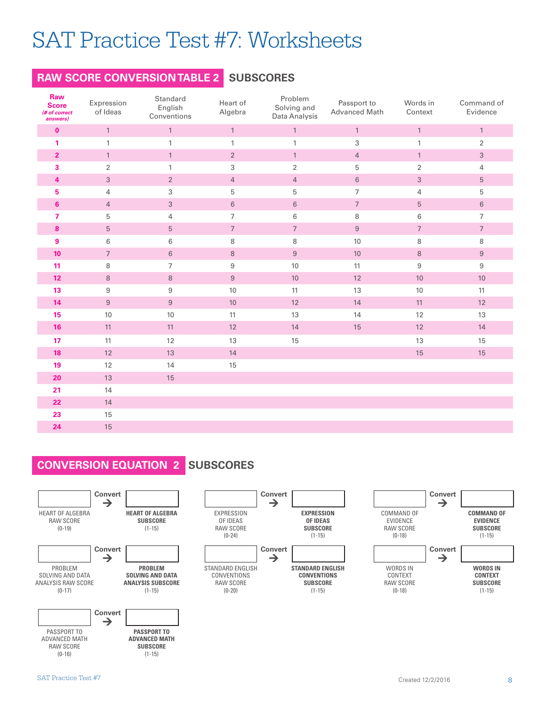#### **RAW SCORE CONVERSION TABLE 2 SUBSCORES**

| Raw<br><b>Score</b><br>(# of correct<br>answers) | Expression<br>of Ideas | Standard<br>English<br>Conventions | Heart of<br>Algebra       | Problem<br>Solving and<br>Data Analysis | Passport to<br>Advanced Math | Words in<br>Context | Command of<br>Evidence |
|--------------------------------------------------|------------------------|------------------------------------|---------------------------|-----------------------------------------|------------------------------|---------------------|------------------------|
| $\mathbf 0$                                      | $\mathbf{1}$           | $\mathbf{1}$                       | $\mathbf{1}$              | $\mathbf{1}$                            | $\mathbbm{1}$                | $\mathbf{1}$        | $\mathbf{1}$           |
| 1                                                | $\mathbf{1}$           | $\mathbf{1}$                       | $\mathbf{1}$              | $\mathbf{1}$                            | $\sqrt{3}$                   | 1                   | $\overline{2}$         |
| $\overline{2}$                                   | $\mathbf{1}$           | $\mathbf{1}$                       | $\sqrt{2}$                | $\mathbf{1}$                            | $\overline{4}$               | $\mathbf{1}$        | $\mathfrak{S}$         |
| 3                                                | 2                      | $\mathbf{1}$                       | $\ensuremath{\mathsf{3}}$ | $\overline{2}$                          | 5                            | $\overline{2}$      | 4                      |
| $\overline{\mathbf{4}}$                          | $\sqrt{3}$             | $\overline{2}$                     | $\overline{4}$            | $\overline{4}$                          | $\,6\,$                      | $\sqrt{3}$          | $\sqrt{5}$             |
| 5                                                | $\overline{4}$         | $\ensuremath{\mathsf{3}}$          | 5                         | $\mathbf 5$                             | $\overline{7}$               | 4                   | 5                      |
| 6                                                | $\overline{4}$         | $\sqrt{3}$                         | $\,6\,$                   | $\,6\,$                                 | $\sqrt{ }$                   | 5                   | $\,6\,$                |
| $\overline{7}$                                   | 5                      | 4                                  | $\overline{7}$            | 6                                       | $\, 8$                       | 6                   | $\overline{7}$         |
| 8                                                | $\sqrt{5}$             | $\sqrt{5}$                         | $\boldsymbol{7}$          | $\boldsymbol{7}$                        | $\boldsymbol{9}$             | $\overline{7}$      | $\sqrt{7}$             |
| 9                                                | 6                      | 6                                  | $\,8\,$                   | 8                                       | 10                           | 8                   | 8                      |
| 10 <sup>°</sup>                                  | $\overline{7}$         | 6                                  | $\,8\,$                   | $\boldsymbol{9}$                        | $10$                         | $\,8\,$             | $\boldsymbol{9}$       |
| 11                                               | 8                      | $\overline{7}$                     | $\,9$                     | 10                                      | 11                           | $\,9$               | $\boldsymbol{9}$       |
| 12 <sub>2</sub>                                  | 8                      | $\,8\,$                            | $9\,$                     | $10$                                    | 12                           | $10$                | $10\,$                 |
| 13                                               | 9                      | $\,9$                              | 10                        | 11                                      | 13                           | 10                  | 11                     |
| 14                                               | $\,9$                  | $\boldsymbol{9}$                   | $10$                      | 12                                      | 14                           | 11                  | 12                     |
| 15                                               | 10                     | 10                                 | 11                        | 13                                      | 14                           | 12                  | 13                     |
| 16                                               | 11                     | 11                                 | 12                        | 14                                      | 15                           | 12                  | 14                     |
| 17                                               | 11                     | 12                                 | 13                        | 15                                      |                              | 13                  | 15                     |
| 18                                               | 12                     | 13                                 | 14                        |                                         |                              | 15                  | 15                     |
| 19                                               | 12                     | 14                                 | $15\,$                    |                                         |                              |                     |                        |
| 20                                               | 13                     | 15                                 |                           |                                         |                              |                     |                        |
| 21                                               | 14                     |                                    |                           |                                         |                              |                     |                        |
| 22                                               | 14                     |                                    |                           |                                         |                              |                     |                        |
| 23                                               | 15                     |                                    |                           |                                         |                              |                     |                        |
| 24                                               | 15                     |                                    |                           |                                         |                              |                     |                        |

#### **CONVERSION EQUATION 2 SUBSCORES**